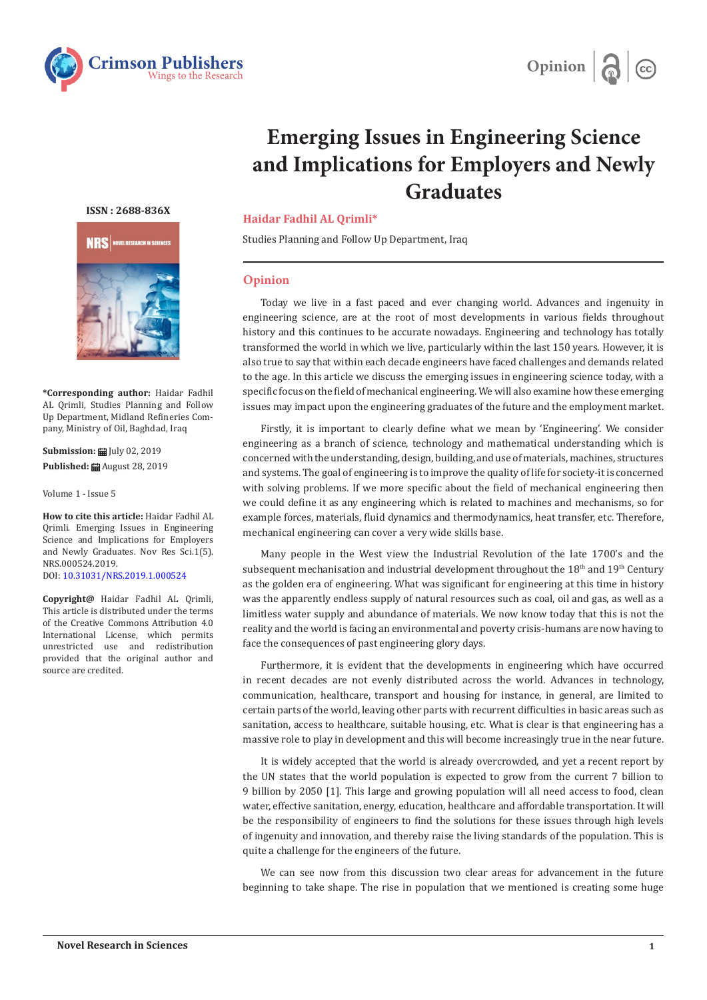



# **Emerging Issues in Engineering Science and Implications for Employers and Newly Graduates**

## **ISSN : 2688-836X**



**\*Corresponding author:** Haidar Fadhil AL Qrimli, Studies Planning and Follow Up Department, Midland Refineries Company, Ministry of Oil, Baghdad, Iraq

**Submission:** July 02, 2019 **Published:** August 28, 2019

Volume 1 - Issue 5

**How to cite this article:** Haidar Fadhil AL Qrimli. Emerging Issues in Engineering Science and Implications for Employers and Newly Graduates. Nov Res Sci.1(5). NRS.000524.2019. DOI: [10.31031/NRS.2019.1.000524](http://dx.doi.org/10.31031/NRS.2019.1.000524
) 

**Copyright@** Haidar Fadhil AL Qrimli, This article is distributed under the terms of the Creative Commons Attribution 4.0 International License, which permits unrestricted use and redistribution provided that the original author and source are credited.

#### **Haidar Fadhil AL Qrimli\***

Studies Planning and Follow Up Department, Iraq

### **Opinion**

Today we live in a fast paced and ever changing world. Advances and ingenuity in engineering science, are at the root of most developments in various fields throughout history and this continues to be accurate nowadays. Engineering and technology has totally transformed the world in which we live, particularly within the last 150 years. However, it is also true to say that within each decade engineers have faced challenges and demands related to the age. In this article we discuss the emerging issues in engineering science today, with a specific focus on the field of mechanical engineering. We will also examine how these emerging issues may impact upon the engineering graduates of the future and the employment market.

Firstly, it is important to clearly define what we mean by 'Engineering'. We consider engineering as a branch of science, technology and mathematical understanding which is concerned with the understanding, design, building, and use of materials, machines, structures and systems. The goal of engineering is to improve the quality of life for society-it is concerned with solving problems. If we more specific about the field of mechanical engineering then we could define it as any engineering which is related to machines and mechanisms, so for example forces, materials, fluid dynamics and thermodynamics, heat transfer, etc. Therefore, mechanical engineering can cover a very wide skills base.

Many people in the West view the Industrial Revolution of the late 1700's and the subsequent mechanisation and industrial development throughout the  $18<sup>th</sup>$  and  $19<sup>th</sup>$  Century as the golden era of engineering. What was significant for engineering at this time in history was the apparently endless supply of natural resources such as coal, oil and gas, as well as a limitless water supply and abundance of materials. We now know today that this is not the reality and the world is facing an environmental and poverty crisis-humans are now having to face the consequences of past engineering glory days.

Furthermore, it is evident that the developments in engineering which have occurred in recent decades are not evenly distributed across the world. Advances in technology, communication, healthcare, transport and housing for instance, in general, are limited to certain parts of the world, leaving other parts with recurrent difficulties in basic areas such as sanitation, access to healthcare, suitable housing, etc. What is clear is that engineering has a massive role to play in development and this will become increasingly true in the near future.

It is widely accepted that the world is already overcrowded, and yet a recent report by the UN states that the world population is expected to grow from the current 7 billion to 9 billion by 2050 [1]. This large and growing population will all need access to food, clean water, effective sanitation, energy, education, healthcare and affordable transportation. It will be the responsibility of engineers to find the solutions for these issues through high levels of ingenuity and innovation, and thereby raise the living standards of the population. This is quite a challenge for the engineers of the future.

We can see now from this discussion two clear areas for advancement in the future beginning to take shape. The rise in population that we mentioned is creating some huge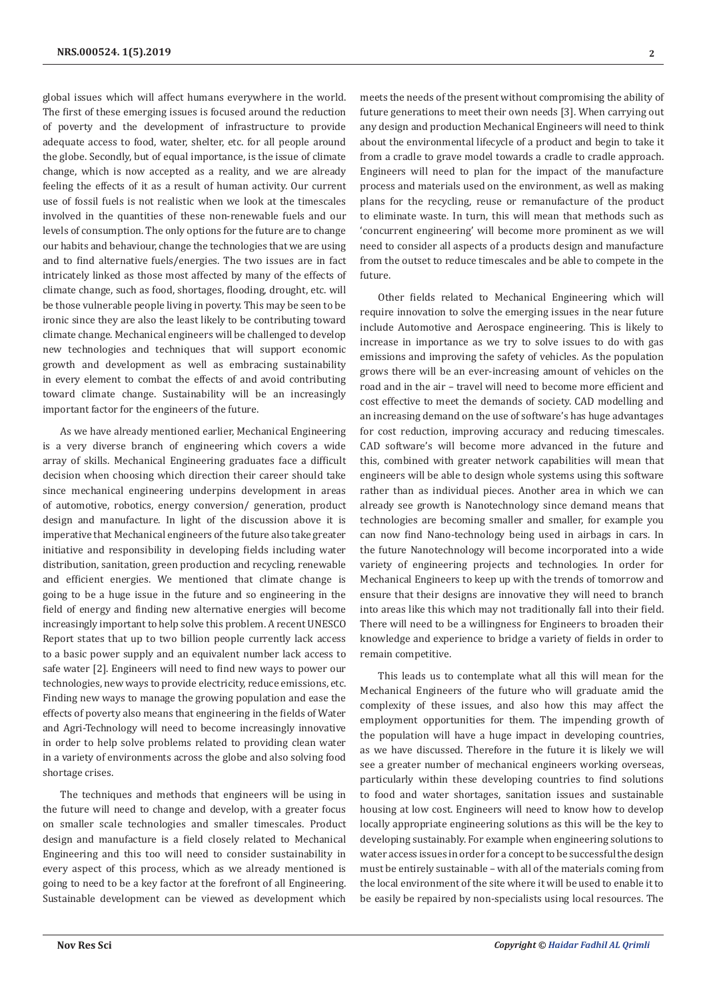global issues which will affect humans everywhere in the world. The first of these emerging issues is focused around the reduction of poverty and the development of infrastructure to provide adequate access to food, water, shelter, etc. for all people around the globe. Secondly, but of equal importance, is the issue of climate change, which is now accepted as a reality, and we are already feeling the effects of it as a result of human activity. Our current use of fossil fuels is not realistic when we look at the timescales involved in the quantities of these non-renewable fuels and our levels of consumption. The only options for the future are to change our habits and behaviour, change the technologies that we are using and to find alternative fuels/energies. The two issues are in fact intricately linked as those most affected by many of the effects of climate change, such as food, shortages, flooding, drought, etc. will be those vulnerable people living in poverty. This may be seen to be ironic since they are also the least likely to be contributing toward climate change. Mechanical engineers will be challenged to develop new technologies and techniques that will support economic growth and development as well as embracing sustainability in every element to combat the effects of and avoid contributing toward climate change. Sustainability will be an increasingly important factor for the engineers of the future.

As we have already mentioned earlier, Mechanical Engineering is a very diverse branch of engineering which covers a wide array of skills. Mechanical Engineering graduates face a difficult decision when choosing which direction their career should take since mechanical engineering underpins development in areas of automotive, robotics, energy conversion/ generation, product design and manufacture. In light of the discussion above it is imperative that Mechanical engineers of the future also take greater initiative and responsibility in developing fields including water distribution, sanitation, green production and recycling, renewable and efficient energies. We mentioned that climate change is going to be a huge issue in the future and so engineering in the field of energy and finding new alternative energies will become increasingly important to help solve this problem. A recent UNESCO Report states that up to two billion people currently lack access to a basic power supply and an equivalent number lack access to safe water [2]. Engineers will need to find new ways to power our technologies, new ways to provide electricity, reduce emissions, etc. Finding new ways to manage the growing population and ease the effects of poverty also means that engineering in the fields of Water and Agri-Technology will need to become increasingly innovative in order to help solve problems related to providing clean water in a variety of environments across the globe and also solving food shortage crises.

The techniques and methods that engineers will be using in the future will need to change and develop, with a greater focus on smaller scale technologies and smaller timescales. Product design and manufacture is a field closely related to Mechanical Engineering and this too will need to consider sustainability in every aspect of this process, which as we already mentioned is going to need to be a key factor at the forefront of all Engineering. Sustainable development can be viewed as development which

meets the needs of the present without compromising the ability of future generations to meet their own needs [3]. When carrying out any design and production Mechanical Engineers will need to think about the environmental lifecycle of a product and begin to take it from a cradle to grave model towards a cradle to cradle approach. Engineers will need to plan for the impact of the manufacture process and materials used on the environment, as well as making plans for the recycling, reuse or remanufacture of the product to eliminate waste. In turn, this will mean that methods such as 'concurrent engineering' will become more prominent as we will need to consider all aspects of a products design and manufacture from the outset to reduce timescales and be able to compete in the future.

Other fields related to Mechanical Engineering which will require innovation to solve the emerging issues in the near future include Automotive and Aerospace engineering. This is likely to increase in importance as we try to solve issues to do with gas emissions and improving the safety of vehicles. As the population grows there will be an ever-increasing amount of vehicles on the road and in the air – travel will need to become more efficient and cost effective to meet the demands of society. CAD modelling and an increasing demand on the use of software's has huge advantages for cost reduction, improving accuracy and reducing timescales. CAD software's will become more advanced in the future and this, combined with greater network capabilities will mean that engineers will be able to design whole systems using this software rather than as individual pieces. Another area in which we can already see growth is Nanotechnology since demand means that technologies are becoming smaller and smaller, for example you can now find Nano-technology being used in airbags in cars. In the future Nanotechnology will become incorporated into a wide variety of engineering projects and technologies. In order for Mechanical Engineers to keep up with the trends of tomorrow and ensure that their designs are innovative they will need to branch into areas like this which may not traditionally fall into their field. There will need to be a willingness for Engineers to broaden their knowledge and experience to bridge a variety of fields in order to remain competitive.

This leads us to contemplate what all this will mean for the Mechanical Engineers of the future who will graduate amid the complexity of these issues, and also how this may affect the employment opportunities for them. The impending growth of the population will have a huge impact in developing countries, as we have discussed. Therefore in the future it is likely we will see a greater number of mechanical engineers working overseas, particularly within these developing countries to find solutions to food and water shortages, sanitation issues and sustainable housing at low cost. Engineers will need to know how to develop locally appropriate engineering solutions as this will be the key to developing sustainably. For example when engineering solutions to water access issues in order for a concept to be successful the design must be entirely sustainable – with all of the materials coming from the local environment of the site where it will be used to enable it to be easily be repaired by non-specialists using local resources. The